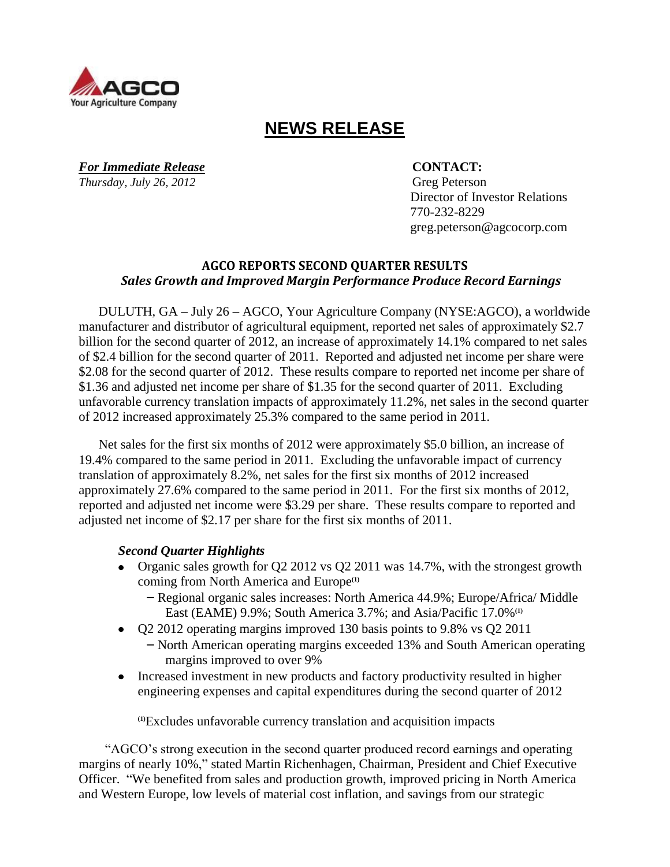

# **NEWS RELEASE**

**For Immediate Release CONTACT:** *Thursday, July 26, 2012* Greg Peterson

 Director of Investor Relations 770-232-8229 [greg.peterson@agcocorp.com](mailto:greg.peterson@agcocorp.com)

### **AGCO REPORTS SECOND QUARTER RESULTS** *Sales Growth and Improved Margin Performance Produce Record Earnings*

DULUTH, GA – July 26 – AGCO, Your Agriculture Company (NYSE:AGCO), a worldwide manufacturer and distributor of agricultural equipment, reported net sales of approximately \$2.7 billion for the second quarter of 2012, an increase of approximately 14.1% compared to net sales of \$2.4 billion for the second quarter of 2011. Reported and adjusted net income per share were \$2.08 for the second quarter of 2012. These results compare to reported net income per share of \$1.36 and adjusted net income per share of \$1.35 for the second quarter of 2011. Excluding unfavorable currency translation impacts of approximately 11.2%, net sales in the second quarter of 2012 increased approximately 25.3% compared to the same period in 2011.

Net sales for the first six months of 2012 were approximately \$5.0 billion, an increase of 19.4% compared to the same period in 2011. Excluding the unfavorable impact of currency translation of approximately 8.2%, net sales for the first six months of 2012 increased approximately 27.6% compared to the same period in 2011. For the first six months of 2012, reported and adjusted net income were \$3.29 per share. These results compare to reported and adjusted net income of \$2.17 per share for the first six months of 2011.

### *Second Quarter Highlights*

- Organic sales growth for Q2 2012 vs Q2 2011 was  $14.7\%$ , with the strongest growth coming from North America and Europe<sup>(1)</sup>
	- − Regional organic sales increases: North America 44.9%; Europe/Africa/ Middle East (EAME) 9.9%; South America 3.7%; and Asia/Pacific 17.0%**(1)**
- Q2 2012 operating margins improved 130 basis points to 9.8% vs Q2 2011
	- − North American operating margins exceeded 13% and South American operating margins improved to over 9%
- Increased investment in new products and factory productivity resulted in higher engineering expenses and capital expenditures during the second quarter of 2012

**(1)**Excludes unfavorable currency translation and acquisition impacts

 "AGCO's strong execution in the second quarter produced record earnings and operating margins of nearly 10%," stated Martin Richenhagen, Chairman, President and Chief Executive Officer. "We benefited from sales and production growth, improved pricing in North America and Western Europe, low levels of material cost inflation, and savings from our strategic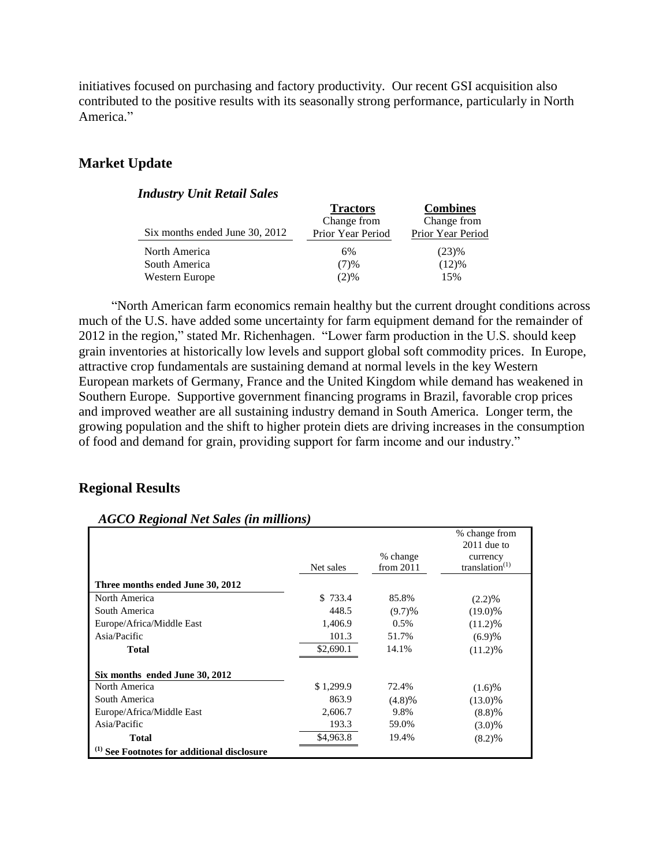initiatives focused on purchasing and factory productivity. Our recent GSI acquisition also contributed to the positive results with its seasonally strong performance, particularly in North America."

# **Market Update**

### *Industry Unit Retail Sales*

|                                | <b>Tractors</b>   | <b>Combines</b>   |
|--------------------------------|-------------------|-------------------|
|                                | Change from       | Change from       |
| Six months ended June 30, 2012 | Prior Year Period | Prior Year Period |
| North America                  | 6%                | (23)%             |
| South America                  | (7)%              | (12)%             |
| Western Europe                 | (2)%              | 15%               |

 "North American farm economics remain healthy but the current drought conditions across much of the U.S. have added some uncertainty for farm equipment demand for the remainder of 2012 in the region," stated Mr. Richenhagen. "Lower farm production in the U.S. should keep grain inventories at historically low levels and support global soft commodity prices. In Europe, attractive crop fundamentals are sustaining demand at normal levels in the key Western European markets of Germany, France and the United Kingdom while demand has weakened in Southern Europe. Supportive government financing programs in Brazil, favorable crop prices and improved weather are all sustaining industry demand in South America. Longer term, the growing population and the shift to higher protein diets are driving increases in the consumption of food and demand for grain, providing support for farm income and our industry."

# **Regional Results**

|                                         | Net sales | % change<br>from $2011$ | % change from<br>$2011$ due to<br>currency<br>translation $(1)$ |
|-----------------------------------------|-----------|-------------------------|-----------------------------------------------------------------|
| Three months ended June 30, 2012        |           |                         |                                                                 |
| North America                           | \$733.4   | 85.8%                   | $(2.2)\%$                                                       |
| South America                           | 448.5     | (9.7)%                  | $(19.0)\%$                                                      |
| Europe/Africa/Middle East               | 1,406.9   | 0.5%                    | $(11.2)\%$                                                      |
| Asia/Pacific                            | 101.3     | 51.7%                   | (6.9)%                                                          |
| <b>Total</b>                            | \$2,690.1 | 14.1%                   | $(11.2)\%$                                                      |
| Six months ended June 30, 2012          |           |                         |                                                                 |
| North America                           | \$1,299.9 | 72.4%                   | $(1.6)\%$                                                       |
| South America                           | 863.9     | (4.8)%                  | $(13.0)\%$                                                      |
| Europe/Africa/Middle East               | 2,606.7   | 9.8%                    | (8.8)%                                                          |
| Asia/Pacific                            | 193.3     | 59.0%                   | $(3.0)\%$                                                       |
| Total                                   | \$4,963.8 | 19.4%                   | $(8.2)$ %                                                       |
| See Footnotes for additional disclosure |           |                         |                                                                 |

### *AGCO Regional Net Sales (in millions)*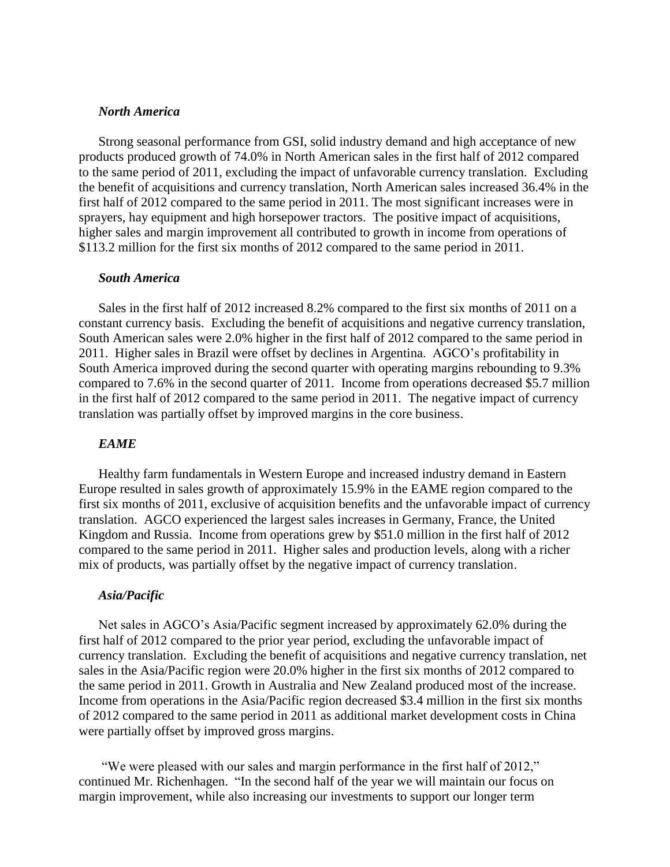#### *North America*

Strong seasonal performance from GSI, solid industry demand and high acceptance of new products produced growth of 74.0% in North American sales in the first half of 2012 compared to the same period of 2011, excluding the impact of unfavorable currency translation. Excluding the benefit of acquisitions and currency translation, North American sales increased 36.4% in the first half of 2012 compared to the same period in 2011. The most significant increases were in sprayers, hay equipment and high horsepower tractors. The positive impact of acquisitions, higher sales and margin improvement all contributed to growth in income from operations of \$113.2 million for the first six months of 2012 compared to the same period in 2011.

#### *South America*

Sales in the first half of 2012 increased 8.2% compared to the first six months of 2011 on a constant currency basis. Excluding the benefit of acquisitions and negative currency translation, South American sales were 2.0% higher in the first half of 2012 compared to the same period in 2011. Higher sales in Brazil were offset by declines in Argentina. AGCO's profitability in South America improved during the second quarter with operating margins rebounding to 9.3% compared to 7.6% in the second quarter of 2011. Income from operations decreased \$5.7 million in the first half of 2012 compared to the same period in 2011. The negative impact of currency translation was partially offset by improved margins in the core business.

#### *EAME*

Healthy farm fundamentals in Western Europe and increased industry demand in Eastern Europe resulted in sales growth of approximately 15.9% in the EAME region compared to the first six months of 2011, exclusive of acquisition benefits and the unfavorable impact of currency translation. AGCO experienced the largest sales increases in Germany, France, the United Kingdom and Russia. Income from operations grew by \$51.0 million in the first half of 2012 compared to the same period in 2011. Higher sales and production levels, along with a richer mix of products, was partially offset by the negative impact of currency translation.

### *Asia/Pacific*

Net sales in AGCO's Asia/Pacific segment increased by approximately 62.0% during the first half of 2012 compared to the prior year period, excluding the unfavorable impact of currency translation. Excluding the benefit of acquisitions and negative currency translation, net sales in the Asia/Pacific region were 20.0% higher in the first six months of 2012 compared to the same period in 2011. Growth in Australia and New Zealand produced most of the increase. Income from operations in the Asia/Pacific region decreased \$3.4 million in the first six months of 2012 compared to the same period in 2011 as additional market development costs in China were partially offset by improved gross margins.

"We were pleased with our sales and margin performance in the first half of 2012," continued Mr. Richenhagen. "In the second half of the year we will maintain our focus on margin improvement, while also increasing our investments to support our longer term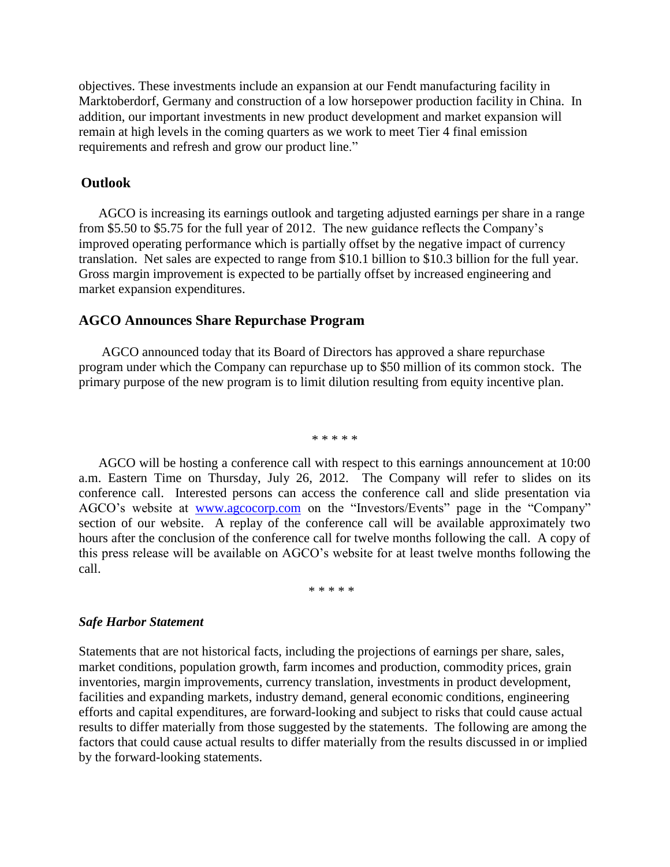objectives. These investments include an expansion at our Fendt manufacturing facility in Marktoberdorf, Germany and construction of a low horsepower production facility in China. In addition, our important investments in new product development and market expansion will remain at high levels in the coming quarters as we work to meet Tier 4 final emission requirements and refresh and grow our product line."

### **Outlook**

AGCO is increasing its earnings outlook and targeting adjusted earnings per share in a range from \$5.50 to \$5.75 for the full year of 2012. The new guidance reflects the Company's improved operating performance which is partially offset by the negative impact of currency translation. Net sales are expected to range from \$10.1 billion to \$10.3 billion for the full year. Gross margin improvement is expected to be partially offset by increased engineering and market expansion expenditures.

### **AGCO Announces Share Repurchase Program**

AGCO announced today that its Board of Directors has approved a share repurchase program under which the Company can repurchase up to \$50 million of its common stock. The primary purpose of the new program is to limit dilution resulting from equity incentive plan.

\* \* \* \* \*

AGCO will be hosting a conference call with respect to this earnings announcement at 10:00 a.m. Eastern Time on Thursday, July 26, 2012. The Company will refer to slides on its conference call. Interested persons can access the conference call and slide presentation via AGCO's website at [www.agcocorp.com](http://www.agcocorp.com/) on the "Investors/Events" page in the "Company" section of our website. A replay of the conference call will be available approximately two hours after the conclusion of the conference call for twelve months following the call. A copy of this press release will be available on AGCO's website for at least twelve months following the call.

\* \* \* \* \*

### *Safe Harbor Statement*

Statements that are not historical facts, including the projections of earnings per share, sales, market conditions, population growth, farm incomes and production, commodity prices, grain inventories, margin improvements, currency translation, investments in product development, facilities and expanding markets, industry demand, general economic conditions, engineering efforts and capital expenditures, are forward-looking and subject to risks that could cause actual results to differ materially from those suggested by the statements. The following are among the factors that could cause actual results to differ materially from the results discussed in or implied by the forward-looking statements.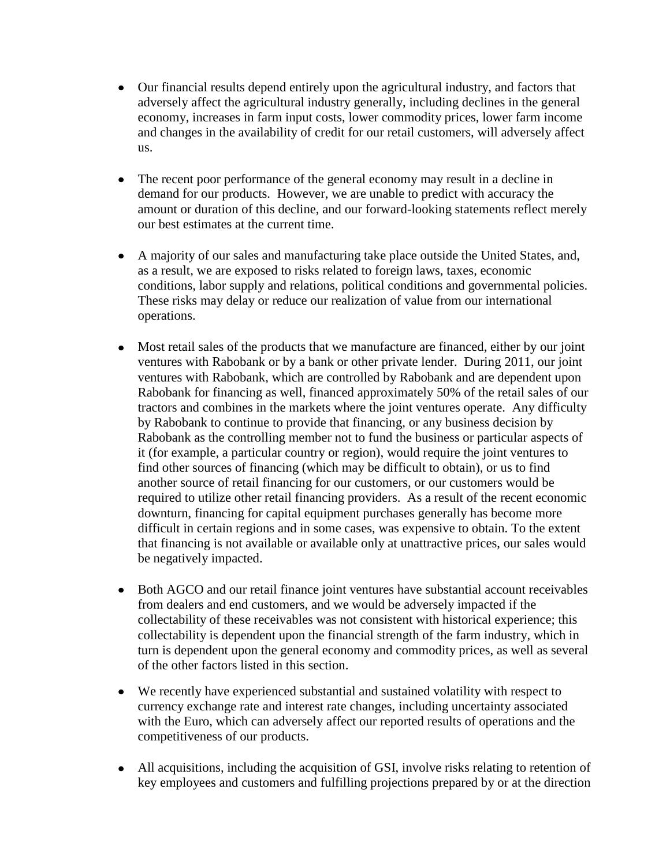- Our financial results depend entirely upon the agricultural industry, and factors that adversely affect the agricultural industry generally, including declines in the general economy, increases in farm input costs, lower commodity prices, lower farm income and changes in the availability of credit for our retail customers, will adversely affect us.
- The recent poor performance of the general economy may result in a decline in demand for our products. However, we are unable to predict with accuracy the amount or duration of this decline, and our forward-looking statements reflect merely our best estimates at the current time.
- A majority of our sales and manufacturing take place outside the United States, and, as a result, we are exposed to risks related to foreign laws, taxes, economic conditions, labor supply and relations, political conditions and governmental policies. These risks may delay or reduce our realization of value from our international operations.
- Most retail sales of the products that we manufacture are financed, either by our joint  $\bullet$ ventures with Rabobank or by a bank or other private lender. During 2011, our joint ventures with Rabobank, which are controlled by Rabobank and are dependent upon Rabobank for financing as well, financed approximately 50% of the retail sales of our tractors and combines in the markets where the joint ventures operate. Any difficulty by Rabobank to continue to provide that financing, or any business decision by Rabobank as the controlling member not to fund the business or particular aspects of it (for example, a particular country or region), would require the joint ventures to find other sources of financing (which may be difficult to obtain), or us to find another source of retail financing for our customers, or our customers would be required to utilize other retail financing providers. As a result of the recent economic downturn, financing for capital equipment purchases generally has become more difficult in certain regions and in some cases, was expensive to obtain. To the extent that financing is not available or available only at unattractive prices, our sales would be negatively impacted.
- Both AGCO and our retail finance joint ventures have substantial account receivables from dealers and end customers, and we would be adversely impacted if the collectability of these receivables was not consistent with historical experience; this collectability is dependent upon the financial strength of the farm industry, which in turn is dependent upon the general economy and commodity prices, as well as several of the other factors listed in this section.
- We recently have experienced substantial and sustained volatility with respect to currency exchange rate and interest rate changes, including uncertainty associated with the Euro, which can adversely affect our reported results of operations and the competitiveness of our products.
- All acquisitions, including the acquisition of GSI, involve risks relating to retention of key employees and customers and fulfilling projections prepared by or at the direction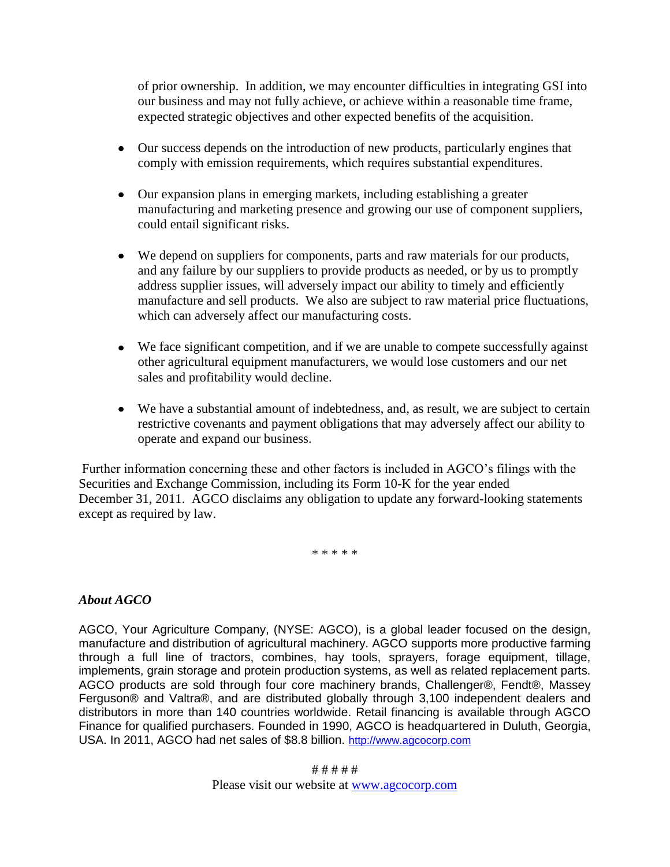of prior ownership. In addition, we may encounter difficulties in integrating GSI into our business and may not fully achieve, or achieve within a reasonable time frame, expected strategic objectives and other expected benefits of the acquisition.

- Our success depends on the introduction of new products, particularly engines that comply with emission requirements, which requires substantial expenditures.
- Our expansion plans in emerging markets, including establishing a greater manufacturing and marketing presence and growing our use of component suppliers, could entail significant risks.
- We depend on suppliers for components, parts and raw materials for our products, and any failure by our suppliers to provide products as needed, or by us to promptly address supplier issues, will adversely impact our ability to timely and efficiently manufacture and sell products. We also are subject to raw material price fluctuations, which can adversely affect our manufacturing costs.
- We face significant competition, and if we are unable to compete successfully against other agricultural equipment manufacturers, we would lose customers and our net sales and profitability would decline.
- We have a substantial amount of indebtedness, and, as result, we are subject to certain restrictive covenants and payment obligations that may adversely affect our ability to operate and expand our business.

Further information concerning these and other factors is included in AGCO's filings with the Securities and Exchange Commission, including its Form 10-K for the year ended December 31, 2011. AGCO disclaims any obligation to update any forward-looking statements except as required by law.

\* \* \* \* \*

# *About AGCO*

AGCO, Your Agriculture Company, (NYSE: AGCO), is a global leader focused on the design, manufacture and distribution of agricultural machinery. AGCO supports more productive farming through a full line of tractors, combines, hay tools, sprayers, forage equipment, tillage, implements, grain storage and protein production systems, as well as related replacement parts. AGCO products are sold through four core machinery brands, Challenger®, Fendt®, Massey Ferguson® and Valtra®, and are distributed globally through 3,100 independent dealers and distributors in more than 140 countries worldwide. Retail financing is available through AGCO Finance for qualified purchasers. Founded in 1990, AGCO is headquartered in Duluth, Georgia, USA. In 2011, AGCO had net sales of \$8.8 billion. [http://www.agcocorp.com](http://www.agcocorp.com/)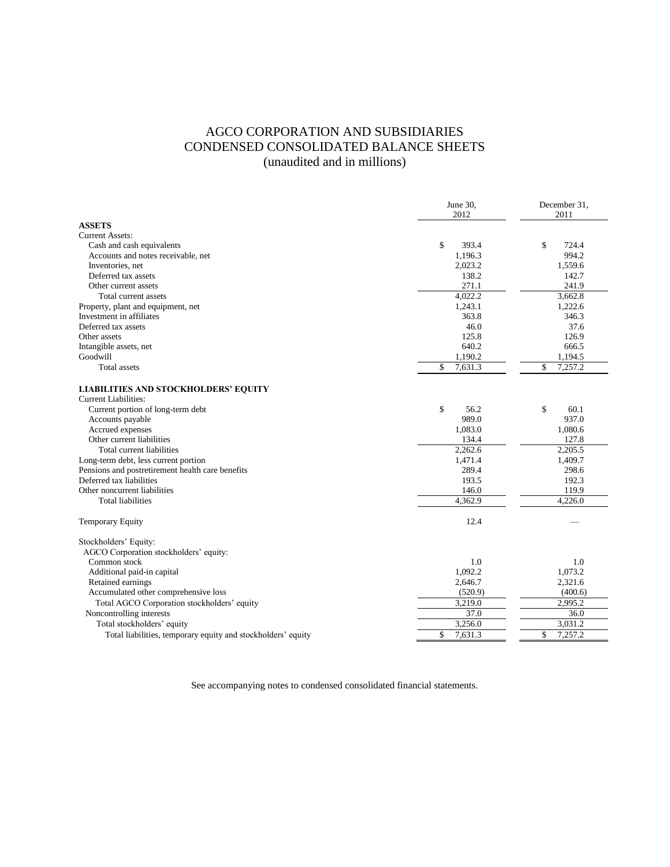### AGCO CORPORATION AND SUBSIDIARIES CONDENSED CONSOLIDATED BALANCE SHEETS (unaudited and in millions)

|                                                                            | June 30,<br>2012                   | December 31,<br>2011 |
|----------------------------------------------------------------------------|------------------------------------|----------------------|
| <b>ASSETS</b>                                                              |                                    |                      |
| <b>Current Assets:</b>                                                     |                                    |                      |
| Cash and cash equivalents                                                  | \$<br>393.4                        | \$<br>724.4          |
| Accounts and notes receivable, net                                         | 1,196.3                            | 994.2                |
| Inventories, net                                                           | 2,023.2                            | 1,559.6              |
| Deferred tax assets                                                        | 138.2                              | 142.7                |
| Other current assets                                                       | 271.1                              | 241.9                |
| Total current assets                                                       | 4.022.2                            | $\overline{3,}662.8$ |
| Property, plant and equipment, net                                         | 1,243.1                            | 1,222.6              |
| Investment in affiliates                                                   | 363.8                              | 346.3                |
| Deferred tax assets                                                        | 46.0                               | 37.6                 |
| Other assets                                                               | 125.8                              | 126.9                |
| Intangible assets, net                                                     | 640.2                              | 666.5                |
| Goodwill                                                                   | 1.190.2                            | 1.194.5              |
| <b>Total assets</b>                                                        | \$<br>7,631.3                      | \$<br>7,257.2        |
| <b>LIABILITIES AND STOCKHOLDERS' EQUITY</b><br><b>Current Liabilities:</b> |                                    |                      |
| Current portion of long-term debt                                          | \$<br>56.2                         | \$<br>60.1           |
| Accounts payable                                                           | 989.0                              | 937.0                |
| Accrued expenses                                                           | 1,083.0                            | 1,080.6              |
| Other current liabilities                                                  | 134.4                              | 127.8                |
| Total current liabilities                                                  | 2,262.6                            | 2,205.5              |
| Long-term debt, less current portion                                       | 1,471.4                            | 1,409.7              |
| Pensions and postretirement health care benefits                           | 289.4                              | 298.6                |
| Deferred tax liabilities                                                   | 193.5                              | 192.3                |
| Other noncurrent liabilities                                               | 146.0                              | 119.9                |
| <b>Total liabilities</b>                                                   | 4.362.9                            | 4.226.0              |
| <b>Temporary Equity</b>                                                    | 12.4                               |                      |
| Stockholders' Equity:<br>AGCO Corporation stockholders' equity:            |                                    |                      |
| Common stock                                                               | 1.0                                | 1.0                  |
| Additional paid-in capital                                                 | 1.092.2                            | 1,073.2              |
| Retained earnings                                                          | 2,646.7                            | 2,321.6              |
| Accumulated other comprehensive loss                                       | (520.9)                            | (400.6)              |
| Total AGCO Corporation stockholders' equity                                | 3,219.0                            | 2,995.2              |
| Noncontrolling interests                                                   | 37.0                               | 36.0                 |
| Total stockholders' equity                                                 | 3,256.0                            | 3,031.2              |
| Total liabilities, temporary equity and stockholders' equity               | $\overline{\mathbb{S}}$<br>7,631.3 | \$<br>7,257.2        |
|                                                                            |                                    |                      |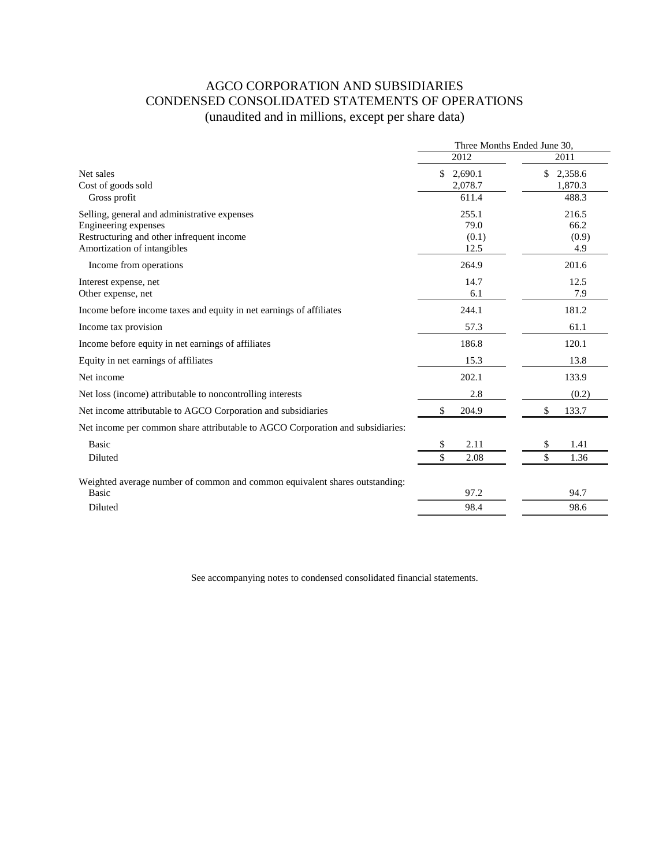# AGCO CORPORATION AND SUBSIDIARIES CONDENSED CONSOLIDATED STATEMENTS OF OPERATIONS (unaudited and in millions, except per share data)

|                                                                                | Three Months Ended June 30. |                  |  |
|--------------------------------------------------------------------------------|-----------------------------|------------------|--|
|                                                                                | 2012                        | 2011             |  |
| Net sales                                                                      | \$<br>2,690.1               | \$<br>2,358.6    |  |
| Cost of goods sold<br>Gross profit                                             | 2,078.7<br>611.4            | 1,870.3<br>488.3 |  |
| Selling, general and administrative expenses                                   | 255.1                       | 216.5            |  |
| Engineering expenses                                                           | 79.0                        | 66.2             |  |
| Restructuring and other infrequent income                                      | (0.1)                       | (0.9)            |  |
| Amortization of intangibles                                                    | 12.5                        | 4.9              |  |
| Income from operations                                                         | 264.9                       | 201.6            |  |
| Interest expense, net                                                          | 14.7                        | 12.5             |  |
| Other expense, net                                                             | 6.1                         | 7.9              |  |
| Income before income taxes and equity in net earnings of affiliates            | 244.1                       | 181.2            |  |
| Income tax provision                                                           | 57.3                        | 61.1             |  |
| Income before equity in net earnings of affiliates                             | 186.8                       | 120.1            |  |
| Equity in net earnings of affiliates                                           | 15.3                        | 13.8             |  |
| Net income                                                                     | 202.1                       | 133.9            |  |
| Net loss (income) attributable to noncontrolling interests                     | 2.8                         | (0.2)            |  |
| Net income attributable to AGCO Corporation and subsidiaries                   | \$<br>204.9                 | \$<br>133.7      |  |
| Net income per common share attributable to AGCO Corporation and subsidiaries: |                             |                  |  |
| Basic                                                                          | 2.11<br>\$                  | 1.41<br>\$       |  |
| Diluted                                                                        | 2.08<br>\$                  | \$<br>1.36       |  |
| Weighted average number of common and common equivalent shares outstanding:    |                             |                  |  |
| Basic                                                                          | 97.2                        | 94.7             |  |
| Diluted                                                                        | 98.4                        | 98.6             |  |
|                                                                                |                             |                  |  |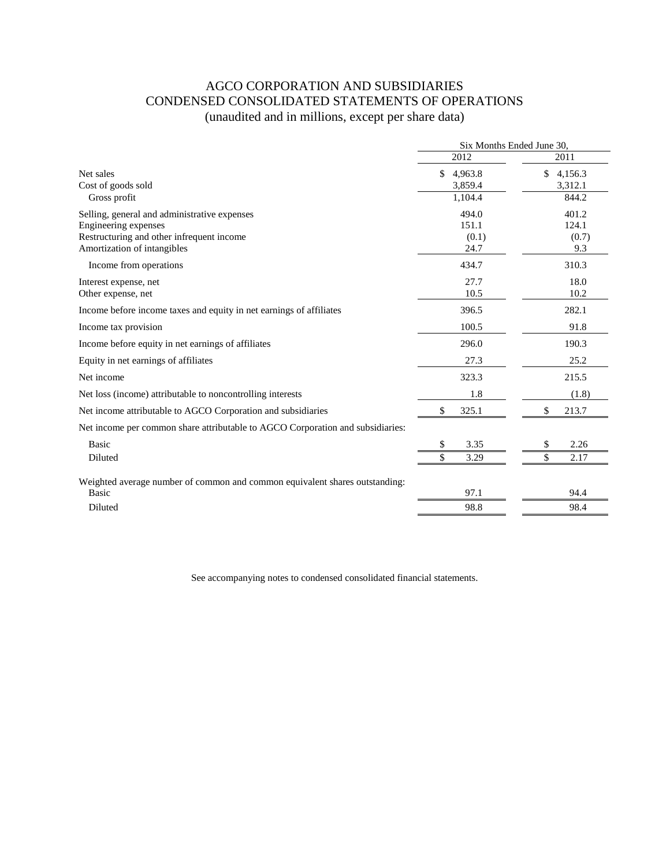# AGCO CORPORATION AND SUBSIDIARIES CONDENSED CONSOLIDATED STATEMENTS OF OPERATIONS (unaudited and in millions, except per share data)

|                                                                                | Six Months Ended June 30. |               |  |
|--------------------------------------------------------------------------------|---------------------------|---------------|--|
|                                                                                | 2012                      | 2011          |  |
| Net sales                                                                      | \$<br>4,963.8             | \$<br>4,156.3 |  |
| Cost of goods sold                                                             | 3,859.4                   | 3,312.1       |  |
| Gross profit                                                                   | 1,104.4                   | 844.2         |  |
| Selling, general and administrative expenses                                   | 494.0                     | 401.2         |  |
| Engineering expenses                                                           | 151.1                     | 124.1         |  |
| Restructuring and other infrequent income                                      | (0.1)                     | (0.7)         |  |
| Amortization of intangibles                                                    | 24.7                      | 9.3           |  |
| Income from operations                                                         | 434.7                     | 310.3         |  |
| Interest expense, net                                                          | 27.7                      | 18.0          |  |
| Other expense, net                                                             | 10.5                      | 10.2          |  |
| Income before income taxes and equity in net earnings of affiliates            | 396.5                     | 282.1         |  |
| Income tax provision                                                           | 100.5                     | 91.8          |  |
| Income before equity in net earnings of affiliates                             | 296.0                     | 190.3         |  |
| Equity in net earnings of affiliates                                           | 27.3                      | 25.2          |  |
| Net income                                                                     | 323.3                     | 215.5         |  |
| Net loss (income) attributable to noncontrolling interests                     | 1.8                       | (1.8)         |  |
| Net income attributable to AGCO Corporation and subsidiaries                   | \$<br>325.1               | \$<br>213.7   |  |
| Net income per common share attributable to AGCO Corporation and subsidiaries: |                           |               |  |
| Basic                                                                          | 3.35<br>\$                | 2.26<br>\$    |  |
| Diluted                                                                        | 3.29<br>\$                | \$<br>2.17    |  |
| Weighted average number of common and common equivalent shares outstanding:    |                           |               |  |
| Basic                                                                          | 97.1                      | 94.4          |  |
| Diluted                                                                        | 98.8                      | 98.4          |  |
|                                                                                |                           |               |  |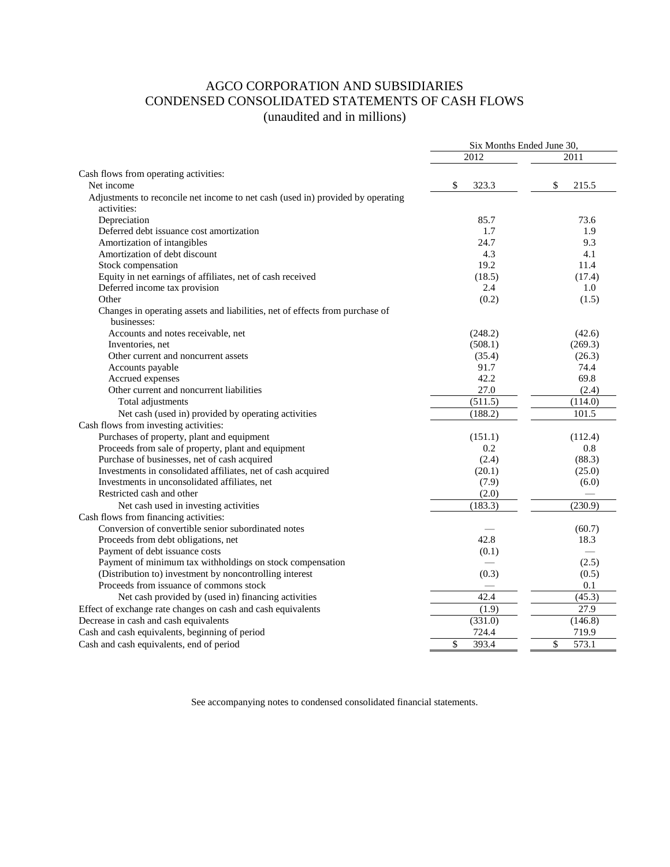# AGCO CORPORATION AND SUBSIDIARIES CONDENSED CONSOLIDATED STATEMENTS OF CASH FLOWS (unaudited and in millions)

|                                                                                 | Six Months Ended June 30, |                          |  |
|---------------------------------------------------------------------------------|---------------------------|--------------------------|--|
|                                                                                 | 2012                      | 2011                     |  |
| Cash flows from operating activities:                                           |                           |                          |  |
| Net income                                                                      | \$<br>323.3               | \$<br>215.5              |  |
| Adjustments to reconcile net income to net cash (used in) provided by operating |                           |                          |  |
| activities:                                                                     |                           |                          |  |
| Depreciation                                                                    | 85.7                      | 73.6                     |  |
| Deferred debt issuance cost amortization                                        | 1.7                       | 1.9                      |  |
| Amortization of intangibles                                                     | 24.7                      | 9.3                      |  |
| Amortization of debt discount                                                   | 4.3                       | 4.1                      |  |
| Stock compensation                                                              | 19.2                      | 11.4                     |  |
| Equity in net earnings of affiliates, net of cash received                      | (18.5)                    | (17.4)                   |  |
| Deferred income tax provision                                                   | 2.4                       | 1.0                      |  |
| Other                                                                           | (0.2)                     | (1.5)                    |  |
| Changes in operating assets and liabilities, net of effects from purchase of    |                           |                          |  |
| businesses:                                                                     |                           |                          |  |
| Accounts and notes receivable, net                                              | (248.2)                   | (42.6)                   |  |
| Inventories, net                                                                | (508.1)                   | (269.3)                  |  |
| Other current and noncurrent assets                                             | (35.4)                    | (26.3)                   |  |
| Accounts payable                                                                | 91.7                      | 74.4                     |  |
| Accrued expenses                                                                | 42.2                      | 69.8                     |  |
| Other current and noncurrent liabilities                                        | 27.0                      | (2.4)                    |  |
| Total adjustments                                                               | (511.5)                   | (114.0)                  |  |
| Net cash (used in) provided by operating activities                             | (188.2)                   | 101.5                    |  |
| Cash flows from investing activities:                                           |                           |                          |  |
| Purchases of property, plant and equipment                                      | (151.1)                   | (112.4)                  |  |
| Proceeds from sale of property, plant and equipment                             | 0.2                       | 0.8                      |  |
| Purchase of businesses, net of cash acquired                                    | (2.4)                     | (88.3)                   |  |
| Investments in consolidated affiliates, net of cash acquired                    | (20.1)                    | (25.0)                   |  |
| Investments in unconsolidated affiliates, net                                   | (7.9)                     | (6.0)                    |  |
| Restricted cash and other                                                       | (2.0)                     |                          |  |
| Net cash used in investing activities                                           | (183.3)                   | (230.9)                  |  |
| Cash flows from financing activities:                                           |                           |                          |  |
| Conversion of convertible senior subordinated notes                             |                           | (60.7)                   |  |
| Proceeds from debt obligations, net                                             | 42.8                      | 18.3                     |  |
| Payment of debt issuance costs                                                  | (0.1)                     | $\overline{\phantom{0}}$ |  |
| Payment of minimum tax withholdings on stock compensation                       |                           | (2.5)                    |  |
| (Distribution to) investment by noncontrolling interest                         | (0.3)                     | (0.5)                    |  |
| Proceeds from issuance of commons stock                                         |                           | 0.1                      |  |
| Net cash provided by (used in) financing activities                             | 42.4                      | (45.3)                   |  |
| Effect of exchange rate changes on cash and cash equivalents                    | (1.9)                     | 27.9                     |  |
| Decrease in cash and cash equivalents                                           | (331.0)                   | (146.8)                  |  |
| Cash and cash equivalents, beginning of period                                  | 724.4                     | 719.9                    |  |
| Cash and cash equivalents, end of period                                        | \$<br>393.4               | \$<br>573.1              |  |
|                                                                                 |                           |                          |  |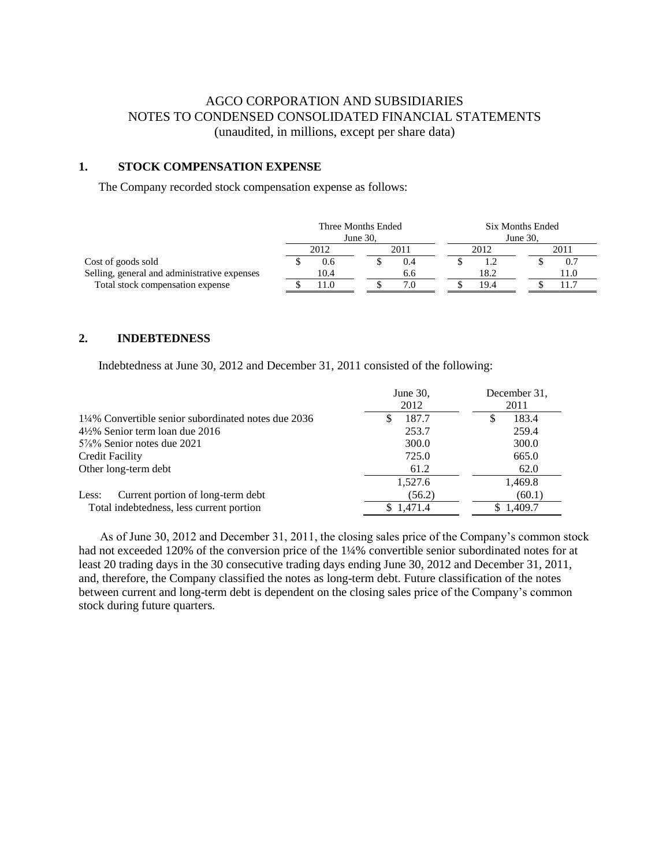### AGCO CORPORATION AND SUBSIDIARIES NOTES TO CONDENSED CONSOLIDATED FINANCIAL STATEMENTS (unaudited, in millions, except per share data)

#### **1. STOCK COMPENSATION EXPENSE**

The Company recorded stock compensation expense as follows:

|                                              | Three Months Ended<br>June $30$ . |  |                   | <b>Six Months Ended</b><br>June 30. |  |        |
|----------------------------------------------|-----------------------------------|--|-------------------|-------------------------------------|--|--------|
|                                              | 2012                              |  | 2011              | 2012                                |  | 2011   |
| Cost of goods sold                           | 0.6                               |  | 0.4               |                                     |  | 0.7    |
| Selling, general and administrative expenses | 10.4                              |  | 6.6               | 18.2                                |  | $-1.0$ |
| Total stock compensation expense             |                                   |  | $^{\prime}$ . ( ) | 19.4                                |  |        |

### **2. INDEBTEDNESS**

Indebtedness at June 30, 2012 and December 31, 2011 consisted of the following:

|                                                    | June $30$ ,<br>2012 | December 31.<br>2011 |  |  |
|----------------------------------------------------|---------------------|----------------------|--|--|
| 1¼% Convertible senior subordinated notes due 2036 | 187.7               | 183.4<br>J           |  |  |
| $4\frac{1}{2}\%$ Senior term loan due 2016         | 253.7               | 259.4                |  |  |
| $5\frac{7}{8}$ % Senior notes due 2021             | 300.0               | 300.0                |  |  |
| <b>Credit Facility</b>                             | 725.0               | 665.0                |  |  |
| Other long-term debt                               | 61.2                | 62.0                 |  |  |
|                                                    | 1,527.6             | 1,469.8              |  |  |
| Current portion of long-term debt<br>Less:         | (56.2)              | (60.1)               |  |  |
| Total indebtedness, less current portion           | 1,471.4             | 1,409.7              |  |  |

 As of June 30, 2012 and December 31, 2011, the closing sales price of the Company's common stock had not exceeded 120% of the conversion price of the 1¼% convertible senior subordinated notes for at least 20 trading days in the 30 consecutive trading days ending June 30, 2012 and December 31, 2011, and, therefore, the Company classified the notes as long-term debt. Future classification of the notes between current and long-term debt is dependent on the closing sales price of the Company's common stock during future quarters.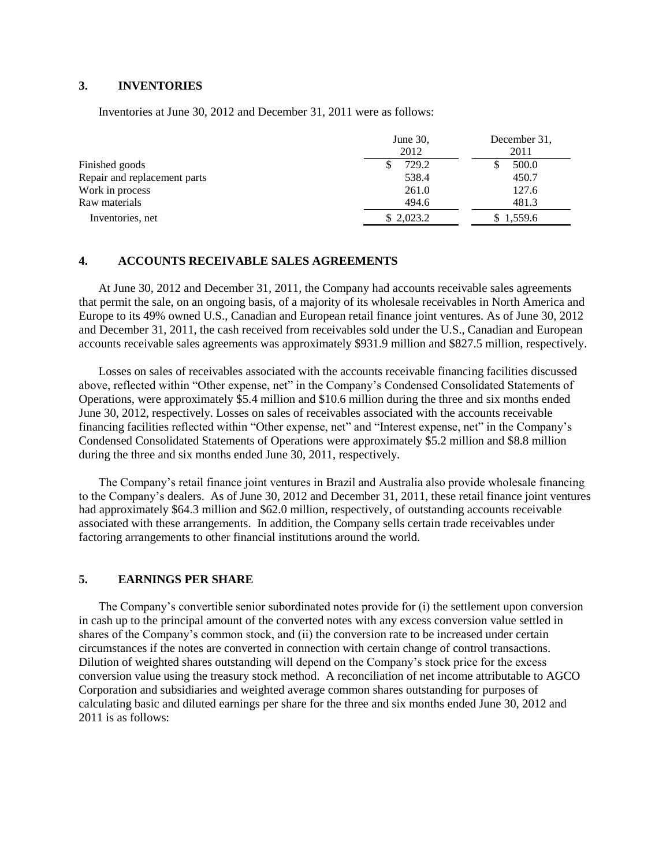#### **3. INVENTORIES**

Inventories at June 30, 2012 and December 31, 2011 were as follows:

|                              | June $30$ ,<br>2012 | December 31,<br>2011 |  |  |
|------------------------------|---------------------|----------------------|--|--|
| Finished goods               | 729.2               | 500.0                |  |  |
| Repair and replacement parts | 538.4               | 450.7                |  |  |
| Work in process              | 261.0               | 127.6                |  |  |
| Raw materials                | 494.6               | 481.3                |  |  |
| Inventories, net             | \$2,023.2           | \$1,559.6            |  |  |

### **4. ACCOUNTS RECEIVABLE SALES AGREEMENTS**

At June 30, 2012 and December 31, 2011, the Company had accounts receivable sales agreements that permit the sale, on an ongoing basis, of a majority of its wholesale receivables in North America and Europe to its 49% owned U.S., Canadian and European retail finance joint ventures. As of June 30, 2012 and December 31, 2011, the cash received from receivables sold under the U.S., Canadian and European accounts receivable sales agreements was approximately \$931.9 million and \$827.5 million, respectively.

Losses on sales of receivables associated with the accounts receivable financing facilities discussed above, reflected within "Other expense, net" in the Company's Condensed Consolidated Statements of Operations, were approximately \$5.4 million and \$10.6 million during the three and six months ended June 30, 2012, respectively. Losses on sales of receivables associated with the accounts receivable financing facilities reflected within "Other expense, net" and "Interest expense, net" in the Company's Condensed Consolidated Statements of Operations were approximately \$5.2 million and \$8.8 million during the three and six months ended June 30, 2011, respectively.

The Company's retail finance joint ventures in Brazil and Australia also provide wholesale financing to the Company's dealers. As of June 30, 2012 and December 31, 2011, these retail finance joint ventures had approximately \$64.3 million and \$62.0 million, respectively, of outstanding accounts receivable associated with these arrangements. In addition, the Company sells certain trade receivables under factoring arrangements to other financial institutions around the world.

### **5. EARNINGS PER SHARE**

The Company's convertible senior subordinated notes provide for (i) the settlement upon conversion in cash up to the principal amount of the converted notes with any excess conversion value settled in shares of the Company's common stock, and (ii) the conversion rate to be increased under certain circumstances if the notes are converted in connection with certain change of control transactions. Dilution of weighted shares outstanding will depend on the Company's stock price for the excess conversion value using the treasury stock method. A reconciliation of net income attributable to AGCO Corporation and subsidiaries and weighted average common shares outstanding for purposes of calculating basic and diluted earnings per share for the three and six months ended June 30, 2012 and 2011 is as follows: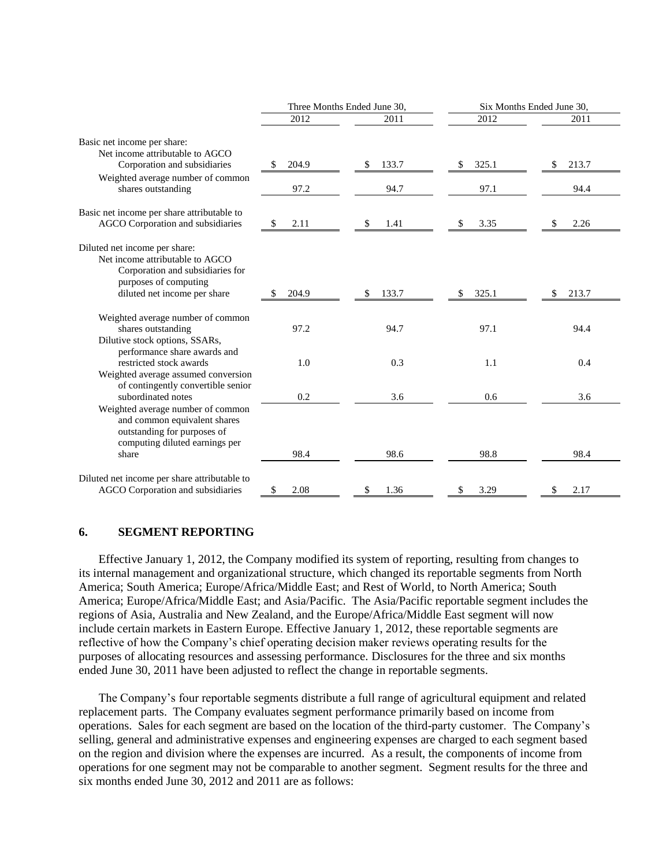|                                                                                                                                             |            | Three Months Ended June 30, | Six Months Ended June 30, |             |  |  |
|---------------------------------------------------------------------------------------------------------------------------------------------|------------|-----------------------------|---------------------------|-------------|--|--|
|                                                                                                                                             | 2012       | 2011                        | 2012                      | 2011        |  |  |
| Basic net income per share:<br>Net income attributable to AGCO                                                                              |            |                             |                           |             |  |  |
| Corporation and subsidiaries                                                                                                                | 204.9      | 133.7                       | 325.1                     | 213.7<br>\$ |  |  |
| Weighted average number of common<br>shares outstanding                                                                                     | 97.2       | 94.7                        | 97.1                      | 94.4        |  |  |
| Basic net income per share attributable to<br>AGCO Corporation and subsidiaries                                                             | \$<br>2.11 | 1.41<br>S                   | 3.35<br>\$                | 2.26<br>\$  |  |  |
| Diluted net income per share:<br>Net income attributable to AGCO<br>Corporation and subsidiaries for<br>purposes of computing               |            |                             |                           |             |  |  |
| diluted net income per share                                                                                                                | 204.9      | 133.7                       | 325.1                     | 213.7       |  |  |
| Weighted average number of common<br>shares outstanding<br>Dilutive stock options, SSARs,<br>performance share awards and                   | 97.2       | 94.7                        | 97.1                      | 94.4        |  |  |
| restricted stock awards<br>Weighted average assumed conversion<br>of contingently convertible senior                                        | 1.0        | 0.3                         | 1.1                       | 0.4         |  |  |
| subordinated notes                                                                                                                          | 0.2        | 3.6                         | 0.6                       | 3.6         |  |  |
| Weighted average number of common<br>and common equivalent shares<br>outstanding for purposes of<br>computing diluted earnings per<br>share | 98.4       | 98.6                        | 98.8                      | 98.4        |  |  |
| Diluted net income per share attributable to<br>AGCO Corporation and subsidiaries                                                           | \$<br>2.08 | 1.36<br>S                   | 3.29<br>\$                | 2.17<br>S   |  |  |

#### **6. SEGMENT REPORTING**

Effective January 1, 2012, the Company modified its system of reporting, resulting from changes to its internal management and organizational structure, which changed its reportable segments from North America; South America; Europe/Africa/Middle East; and Rest of World, to North America; South America; Europe/Africa/Middle East; and Asia/Pacific. The Asia/Pacific reportable segment includes the regions of Asia, Australia and New Zealand, and the Europe/Africa/Middle East segment will now include certain markets in Eastern Europe. Effective January 1, 2012, these reportable segments are reflective of how the Company's chief operating decision maker reviews operating results for the purposes of allocating resources and assessing performance. Disclosures for the three and six months ended June 30, 2011 have been adjusted to reflect the change in reportable segments.

The Company's four reportable segments distribute a full range of agricultural equipment and related replacement parts. The Company evaluates segment performance primarily based on income from operations. Sales for each segment are based on the location of the third-party customer. The Company's selling, general and administrative expenses and engineering expenses are charged to each segment based on the region and division where the expenses are incurred. As a result, the components of income from operations for one segment may not be comparable to another segment. Segment results for the three and six months ended June 30, 2012 and 2011 are as follows: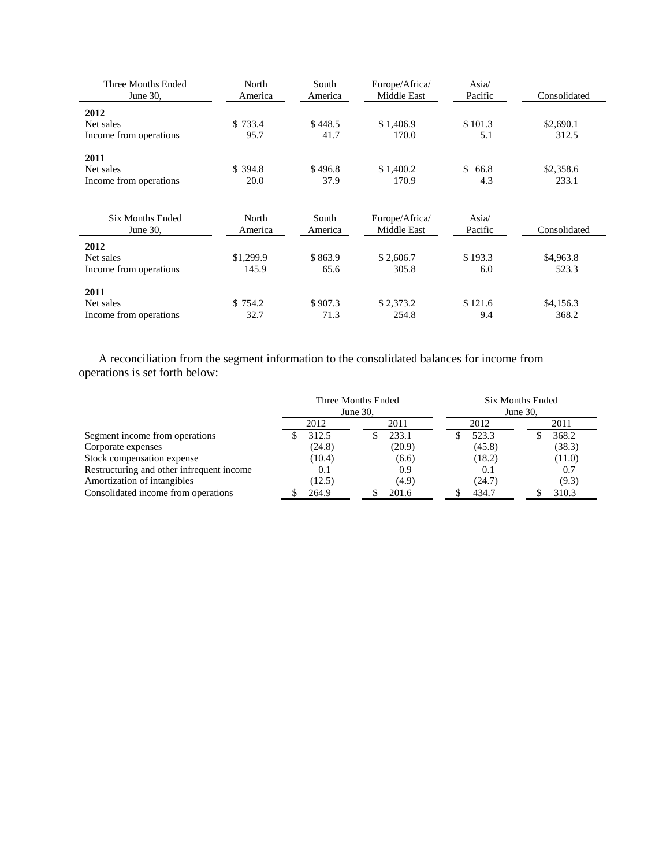| Three Months Ended<br>June 30, | North<br>America | South<br>America | Europe/Africa/<br>Middle East | Asia/<br>Pacific | Consolidated |
|--------------------------------|------------------|------------------|-------------------------------|------------------|--------------|
| 2012                           |                  |                  |                               |                  |              |
| Net sales                      | \$733.4          | \$448.5          | \$1,406.9                     | \$101.3          | \$2,690.1    |
| Income from operations         | 95.7             | 41.7             | 170.0                         | 5.1              | 312.5        |
| 2011                           |                  |                  |                               |                  |              |
| Net sales                      | \$394.8          | \$496.8          | \$1,400.2                     | \$.<br>66.8      | \$2,358.6    |
| Income from operations         | 20.0             | 37.9             | 170.9                         | 4.3              | 233.1        |
|                                |                  |                  |                               |                  |              |
| <b>Six Months Ended</b>        | North            | South            | Europe/Africa/                | Asia/            |              |
| June 30,                       | America          | America          | Middle East                   | Pacific          | Consolidated |
| 2012                           |                  |                  |                               |                  |              |
| Net sales                      | \$1,299.9        | \$863.9          | \$2,606.7                     | \$193.3          | \$4,963.8    |
| Income from operations         | 145.9            | 65.6             | 305.8                         | 6.0              | 523.3        |
| 2011                           |                  |                  |                               |                  |              |
| Net sales                      | \$754.2          | \$907.3          | \$2,373.2                     | \$121.6          | \$4,156.3    |
| Income from operations         | 32.7             | 71.3             | 254.8                         | 9.4              | 368.2        |

A reconciliation from the segment information to the consolidated balances for income from operations is set forth below:

|                                           | Three Months Ended<br>June 30, |        |      |        | <b>Six Months Ended</b><br>June $30$ , |        |  |        |
|-------------------------------------------|--------------------------------|--------|------|--------|----------------------------------------|--------|--|--------|
|                                           | 2012<br>2011                   |        | 2012 |        |                                        | 2011   |  |        |
| Segment income from operations            |                                | 312.5  |      | 233.1  |                                        | 523.3  |  | 368.2  |
| Corporate expenses                        |                                | (24.8) |      | (20.9) |                                        | (45.8) |  | (38.3) |
| Stock compensation expense                |                                | (10.4) |      | (6.6)  |                                        | (18.2) |  | (11.0) |
| Restructuring and other infrequent income |                                | 0.1    |      | 0.9    |                                        | 0.1    |  | 0.7    |
| Amortization of intangibles               |                                | (12.5) |      | (4.9)  |                                        | (24.7) |  | (9.3)  |
| Consolidated income from operations       |                                | 264.9  |      | 201.6  |                                        | 434.7  |  | 310.3  |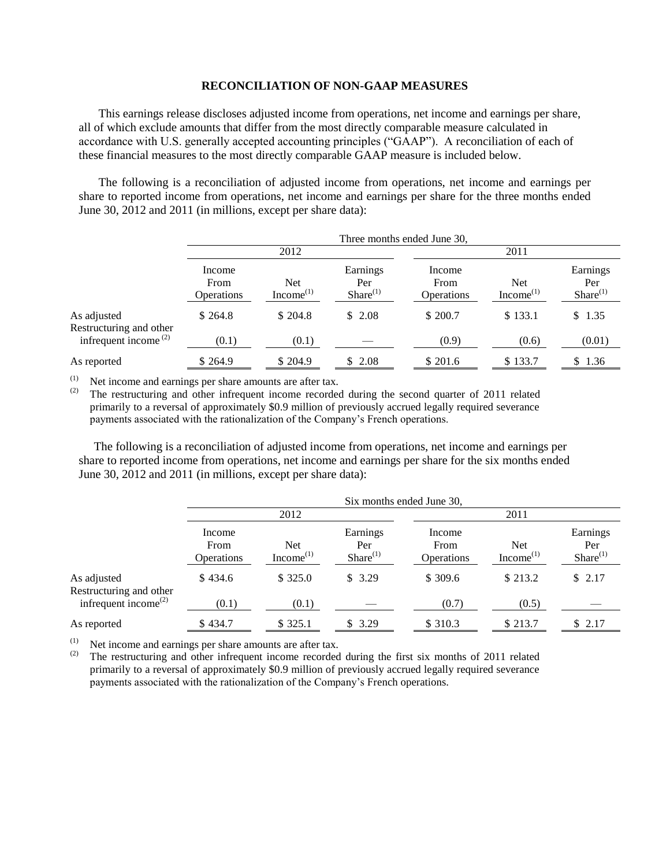#### **RECONCILIATION OF NON-GAAP MEASURES**

This earnings release discloses adjusted income from operations, net income and earnings per share, all of which exclude amounts that differ from the most directly comparable measure calculated in accordance with U.S. generally accepted accounting principles ("GAAP"). A reconciliation of each of these financial measures to the most directly comparable GAAP measure is included below.

The following is a reconciliation of adjusted income from operations, net income and earnings per share to reported income from operations, net income and earnings per share for the three months ended June 30, 2012 and 2011 (in millions, except per share data):

|                                               | Three months ended June 30,         |                               |                                  |                                     |                                     |                                         |  |
|-----------------------------------------------|-------------------------------------|-------------------------------|----------------------------------|-------------------------------------|-------------------------------------|-----------------------------------------|--|
|                                               | 2012                                |                               |                                  | 2011                                |                                     |                                         |  |
|                                               | Income<br>From<br><b>Operations</b> | <b>Net</b><br>Income $^{(1)}$ | Earnings<br>Per<br>$Share^{(1)}$ | Income<br>From<br><b>Operations</b> | <b>Net</b><br>Income <sup>(1)</sup> | Earnings<br>Per<br>Share <sup>(1)</sup> |  |
| As adjusted<br>Restructuring and other        | \$264.8                             | \$204.8                       | \$2.08                           | \$200.7                             | \$133.1                             | \$1.35                                  |  |
| infrequent income <sup><math>(2)</math></sup> | (0.1)                               | (0.1)                         |                                  | (0.9)                               | (0.6)                               | (0.01)                                  |  |
| As reported                                   | \$264.9                             | \$204.9                       | \$2.08                           | \$201.6                             | \$133.7                             | \$1.36                                  |  |

(1) Net income and earnings per share amounts are after tax.<br>(2) The restructuring and other infrequent income recorder

The restructuring and other infrequent income recorded during the second quarter of 2011 related primarily to a reversal of approximately \$0.9 million of previously accrued legally required severance payments associated with the rationalization of the Company's French operations.

 The following is a reconciliation of adjusted income from operations, net income and earnings per share to reported income from operations, net income and earnings per share for the six months ended June 30, 2012 and 2011 (in millions, except per share data):

|                                                                                         | Six months ended June 30,    |                               |                                   |                                     |                                     |                                         |
|-----------------------------------------------------------------------------------------|------------------------------|-------------------------------|-----------------------------------|-------------------------------------|-------------------------------------|-----------------------------------------|
|                                                                                         | 2012                         |                               |                                   | 2011                                |                                     |                                         |
|                                                                                         | Income<br>From<br>Operations | <b>Net</b><br>Income $^{(1)}$ | Earnings<br>Per<br>Share $^{(1)}$ | Income<br>From<br><b>Operations</b> | <b>Net</b><br>Income <sup>(1)</sup> | Earnings<br>Per<br>Share <sup>(1)</sup> |
| As adjusted<br>Restructuring and other<br>infrequent income <sup><math>(2)</math></sup> | \$434.6<br>(0.1)             | \$325.0<br>(0.1)              | \$3.29                            | \$309.6<br>(0.7)                    | \$213.2<br>(0.5)                    | \$2.17                                  |
| As reported                                                                             | \$434.7                      | \$325.1                       | \$3.29                            | \$ 310.3                            | \$213.7                             | \$2.17                                  |

(1) Net income and earnings per share amounts are after tax.<br>(2) The restructuring and other infracuent income recorded

The restructuring and other infrequent income recorded during the first six months of 2011 related primarily to a reversal of approximately \$0.9 million of previously accrued legally required severance payments associated with the rationalization of the Company's French operations.